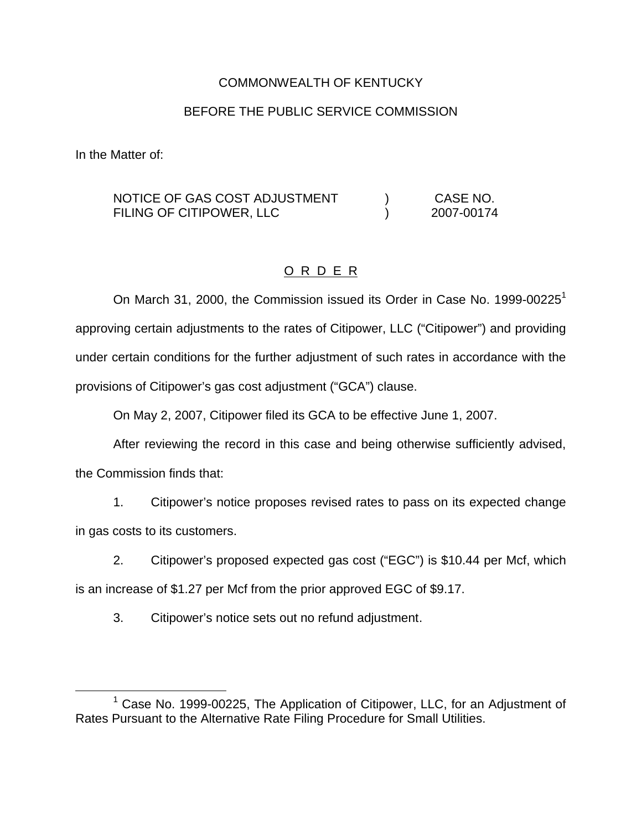## COMMONWEALTH OF KENTUCKY

# BEFORE THE PUBLIC SERVICE COMMISSION

In the Matter of:

#### NOTICE OF GAS COST ADJUSTMENT FILING OF CITIPOWER, LLC ) CASE NO. ) 2007-00174

# O R D E R

On March 31, 2000, the Commission issued its Order in Case No. 1999-00225<sup>1</sup> approving certain adjustments to the rates of Citipower, LLC ("Citipower") and providing under certain conditions for the further adjustment of such rates in accordance with the provisions of Citipower's gas cost adjustment ("GCA") clause.

On May 2, 2007, Citipower filed its GCA to be effective June 1, 2007.

After reviewing the record in this case and being otherwise sufficiently advised,

the Commission finds that:

1. Citipower's notice proposes revised rates to pass on its expected change in gas costs to its customers.

2. Citipower's proposed expected gas cost ("EGC") is \$10.44 per Mcf, which

is an increase of \$1.27 per Mcf from the prior approved EGC of \$9.17.

3. Citipower's notice sets out no refund adjustment.

 $1$  Case No. 1999-00225, The Application of Citipower, LLC, for an Adjustment of Rates Pursuant to the Alternative Rate Filing Procedure for Small Utilities.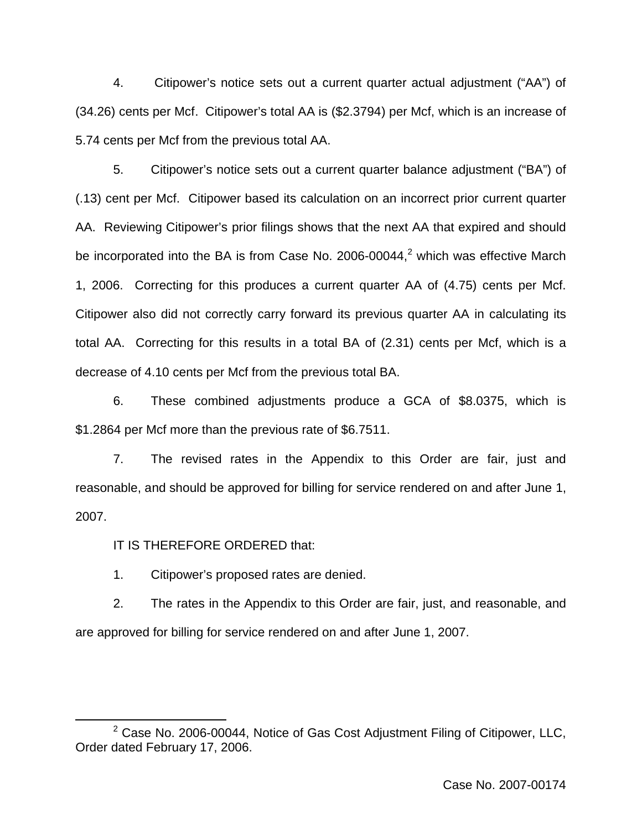4. Citipower's notice sets out a current quarter actual adjustment ("AA") of (34.26) cents per Mcf. Citipower's total AA is (\$2.3794) per Mcf, which is an increase of 5.74 cents per Mcf from the previous total AA.

5. Citipower's notice sets out a current quarter balance adjustment ("BA") of (.13) cent per Mcf. Citipower based its calculation on an incorrect prior current quarter AA. Reviewing Citipower's prior filings shows that the next AA that expired and should be incorporated into the BA is from Case No. 2006-00044, $<sup>2</sup>$  which was effective March</sup> 1, 2006. Correcting for this produces a current quarter AA of (4.75) cents per Mcf. Citipower also did not correctly carry forward its previous quarter AA in calculating its total AA. Correcting for this results in a total BA of (2.31) cents per Mcf, which is a decrease of 4.10 cents per Mcf from the previous total BA.

6. These combined adjustments produce a GCA of \$8.0375, which is \$1.2864 per Mcf more than the previous rate of \$6.7511.

7. The revised rates in the Appendix to this Order are fair, just and reasonable, and should be approved for billing for service rendered on and after June 1, 2007.

IT IS THEREFORE ORDERED that:

1. Citipower's proposed rates are denied.

2. The rates in the Appendix to this Order are fair, just, and reasonable, and are approved for billing for service rendered on and after June 1, 2007.

 $2$  Case No. 2006-00044, Notice of Gas Cost Adjustment Filing of Citipower, LLC, Order dated February 17, 2006.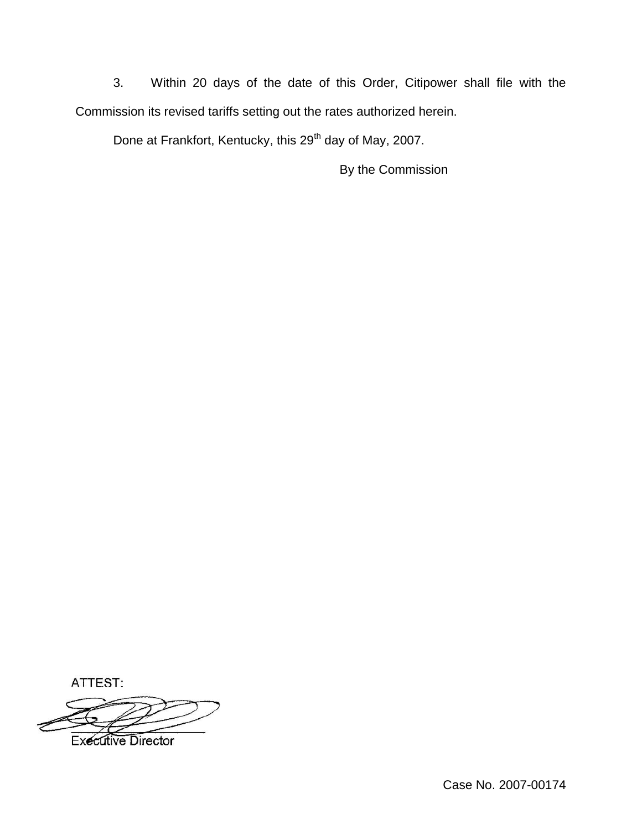3. Within 20 days of the date of this Order, Citipower shall file with the Commission its revised tariffs setting out the rates authorized herein.

Done at Frankfort, Kentucky, this 29<sup>th</sup> day of May, 2007.

By the Commission

ATTEST:



**Executive Director**